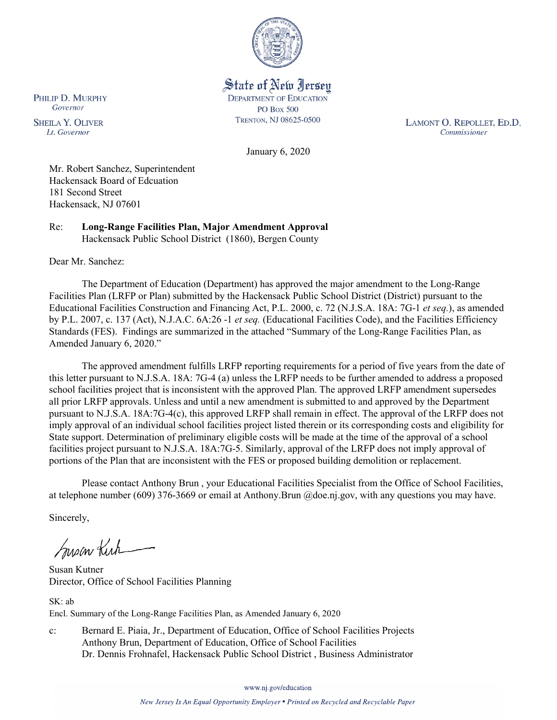

State of New Jersey **DEPARTMENT OF EDUCATION PO Box 500** TRENTON, NJ 08625-0500

LAMONT O. REPOLLET, ED.D. Commissioner

January 6, 2020

Mr. Robert Sanchez, Superintendent Hackensack Board of Edcuation 181 Second Street Hackensack, NJ 07601

Re: **Long-Range Facilities Plan, Major Amendment Approval** Hackensack Public School District (1860), Bergen County

Dear Mr. Sanchez:

PHILIP D. MURPHY Governor

**SHEILA Y. OLIVER** 

Lt. Governor

The Department of Education (Department) has approved the major amendment to the Long-Range Facilities Plan (LRFP or Plan) submitted by the Hackensack Public School District (District) pursuant to the Educational Facilities Construction and Financing Act, P.L. 2000, c. 72 (N.J.S.A. 18A: 7G-1 *et seq.*), as amended by P.L. 2007, c. 137 (Act), N.J.A.C. 6A:26 -1 *et seq.* (Educational Facilities Code), and the Facilities Efficiency Standards (FES). Findings are summarized in the attached "Summary of the Long-Range Facilities Plan, as Amended January 6, 2020."

The approved amendment fulfills LRFP reporting requirements for a period of five years from the date of this letter pursuant to N.J.S.A. 18A: 7G-4 (a) unless the LRFP needs to be further amended to address a proposed school facilities project that is inconsistent with the approved Plan. The approved LRFP amendment supersedes all prior LRFP approvals. Unless and until a new amendment is submitted to and approved by the Department pursuant to N.J.S.A. 18A:7G-4(c), this approved LRFP shall remain in effect. The approval of the LRFP does not imply approval of an individual school facilities project listed therein or its corresponding costs and eligibility for State support. Determination of preliminary eligible costs will be made at the time of the approval of a school facilities project pursuant to N.J.S.A. 18A:7G-5. Similarly, approval of the LRFP does not imply approval of portions of the Plan that are inconsistent with the FES or proposed building demolition or replacement.

Please contact Anthony Brun , your Educational Facilities Specialist from the Office of School Facilities, at telephone number (609) 376-3669 or email at Anthony.Brun @doe.nj.gov, with any questions you may have.

Sincerely,

Susan Kich

Susan Kutner Director, Office of School Facilities Planning

SK: ab Encl. Summary of the Long-Range Facilities Plan, as Amended January 6, 2020

c: Bernard E. Piaia, Jr., Department of Education, Office of School Facilities Projects Anthony Brun, Department of Education, Office of School Facilities Dr. Dennis Frohnafel, Hackensack Public School District , Business Administrator

www.nj.gov/education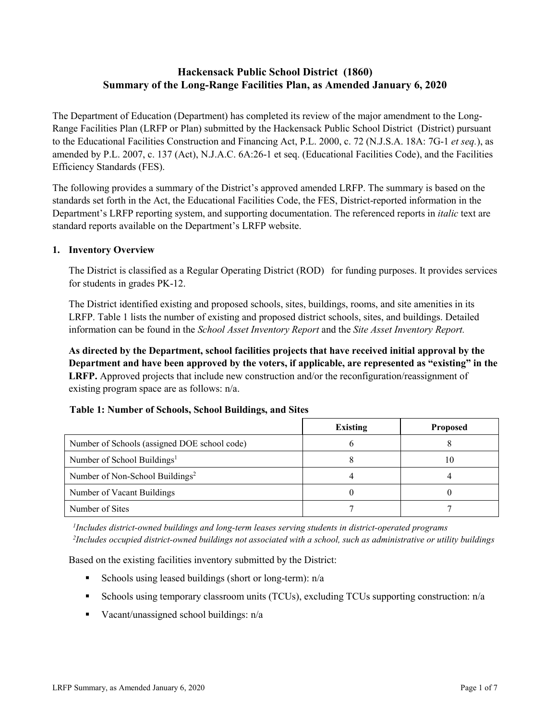# **Hackensack Public School District (1860) Summary of the Long-Range Facilities Plan, as Amended January 6, 2020**

The Department of Education (Department) has completed its review of the major amendment to the Long-Range Facilities Plan (LRFP or Plan) submitted by the Hackensack Public School District (District) pursuant to the Educational Facilities Construction and Financing Act, P.L. 2000, c. 72 (N.J.S.A. 18A: 7G-1 *et seq.*), as amended by P.L. 2007, c. 137 (Act), N.J.A.C. 6A:26-1 et seq. (Educational Facilities Code), and the Facilities Efficiency Standards (FES).

The following provides a summary of the District's approved amended LRFP. The summary is based on the standards set forth in the Act, the Educational Facilities Code, the FES, District-reported information in the Department's LRFP reporting system, and supporting documentation. The referenced reports in *italic* text are standard reports available on the Department's LRFP website.

## **1. Inventory Overview**

The District is classified as a Regular Operating District (ROD) for funding purposes. It provides services for students in grades PK-12.

The District identified existing and proposed schools, sites, buildings, rooms, and site amenities in its LRFP. Table 1 lists the number of existing and proposed district schools, sites, and buildings. Detailed information can be found in the *School Asset Inventory Report* and the *Site Asset Inventory Report.*

**As directed by the Department, school facilities projects that have received initial approval by the Department and have been approved by the voters, if applicable, are represented as "existing" in the LRFP.** Approved projects that include new construction and/or the reconfiguration/reassignment of existing program space are as follows: n/a.

#### **Table 1: Number of Schools, School Buildings, and Sites**

|                                              | <b>Existing</b> | <b>Proposed</b> |
|----------------------------------------------|-----------------|-----------------|
| Number of Schools (assigned DOE school code) |                 |                 |
| Number of School Buildings <sup>1</sup>      |                 | 10              |
| Number of Non-School Buildings <sup>2</sup>  |                 |                 |
| Number of Vacant Buildings                   |                 |                 |
| Number of Sites                              |                 |                 |

*1 Includes district-owned buildings and long-term leases serving students in district-operated programs 2 Includes occupied district-owned buildings not associated with a school, such as administrative or utility buildings*

Based on the existing facilities inventory submitted by the District:

- Schools using leased buildings (short or long-term):  $n/a$
- Schools using temporary classroom units (TCUs), excluding TCUs supporting construction: n/a
- Vacant/unassigned school buildings:  $n/a$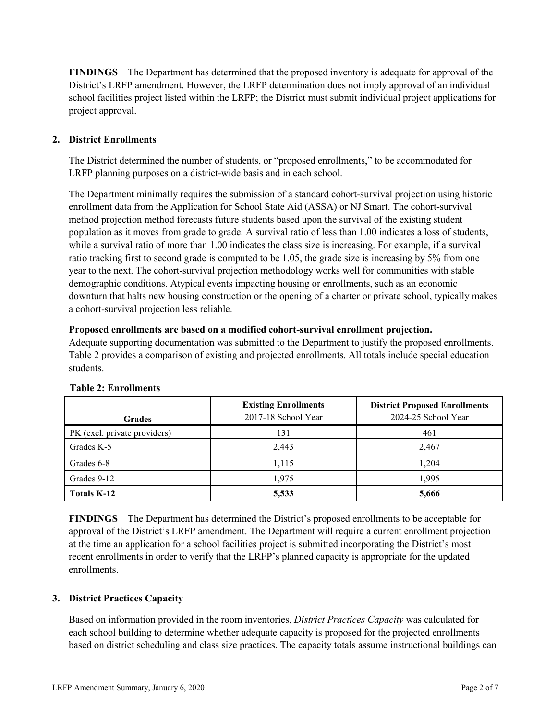**FINDINGS** The Department has determined that the proposed inventory is adequate for approval of the District's LRFP amendment. However, the LRFP determination does not imply approval of an individual school facilities project listed within the LRFP; the District must submit individual project applications for project approval.

# **2. District Enrollments**

The District determined the number of students, or "proposed enrollments," to be accommodated for LRFP planning purposes on a district-wide basis and in each school.

The Department minimally requires the submission of a standard cohort-survival projection using historic enrollment data from the Application for School State Aid (ASSA) or NJ Smart. The cohort-survival method projection method forecasts future students based upon the survival of the existing student population as it moves from grade to grade. A survival ratio of less than 1.00 indicates a loss of students, while a survival ratio of more than 1.00 indicates the class size is increasing. For example, if a survival ratio tracking first to second grade is computed to be 1.05, the grade size is increasing by 5% from one year to the next. The cohort-survival projection methodology works well for communities with stable demographic conditions. Atypical events impacting housing or enrollments, such as an economic downturn that halts new housing construction or the opening of a charter or private school, typically makes a cohort-survival projection less reliable.

#### **Proposed enrollments are based on a modified cohort-survival enrollment projection.**

Adequate supporting documentation was submitted to the Department to justify the proposed enrollments. Table 2 provides a comparison of existing and projected enrollments. All totals include special education students.

| <b>Grades</b>                | <b>Existing Enrollments</b><br>2017-18 School Year | <b>District Proposed Enrollments</b><br>2024-25 School Year |
|------------------------------|----------------------------------------------------|-------------------------------------------------------------|
| PK (excl. private providers) | 131                                                | 461                                                         |
| Grades K-5                   | 2,443                                              | 2,467                                                       |
| Grades 6-8                   | 1,115                                              | 1,204                                                       |
| Grades 9-12                  | 1.975                                              | 1.995                                                       |
| <b>Totals K-12</b>           | 5,533                                              | 5,666                                                       |

#### **Table 2: Enrollments**

**FINDINGS** The Department has determined the District's proposed enrollments to be acceptable for approval of the District's LRFP amendment. The Department will require a current enrollment projection at the time an application for a school facilities project is submitted incorporating the District's most recent enrollments in order to verify that the LRFP's planned capacity is appropriate for the updated enrollments.

#### **3. District Practices Capacity**

Based on information provided in the room inventories, *District Practices Capacity* was calculated for each school building to determine whether adequate capacity is proposed for the projected enrollments based on district scheduling and class size practices. The capacity totals assume instructional buildings can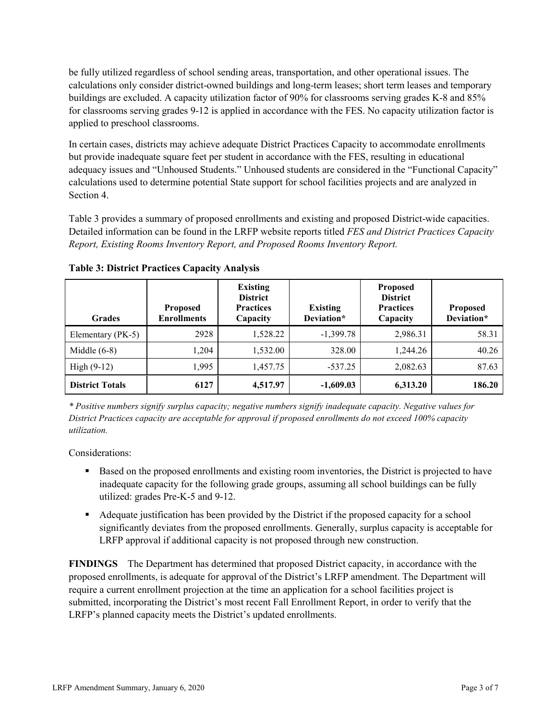be fully utilized regardless of school sending areas, transportation, and other operational issues. The calculations only consider district-owned buildings and long-term leases; short term leases and temporary buildings are excluded. A capacity utilization factor of 90% for classrooms serving grades K-8 and 85% for classrooms serving grades 9-12 is applied in accordance with the FES. No capacity utilization factor is applied to preschool classrooms.

In certain cases, districts may achieve adequate District Practices Capacity to accommodate enrollments but provide inadequate square feet per student in accordance with the FES, resulting in educational adequacy issues and "Unhoused Students." Unhoused students are considered in the "Functional Capacity" calculations used to determine potential State support for school facilities projects and are analyzed in Section 4.

Table 3 provides a summary of proposed enrollments and existing and proposed District-wide capacities. Detailed information can be found in the LRFP website reports titled *FES and District Practices Capacity Report, Existing Rooms Inventory Report, and Proposed Rooms Inventory Report.*

| <b>Grades</b>          | <b>Proposed</b><br><b>Enrollments</b> | <b>Existing</b><br><b>District</b><br><b>Practices</b><br>Capacity | <b>Existing</b><br>Deviation* | <b>Proposed</b><br><b>District</b><br><b>Practices</b><br>Capacity | <b>Proposed</b><br>Deviation* |
|------------------------|---------------------------------------|--------------------------------------------------------------------|-------------------------------|--------------------------------------------------------------------|-------------------------------|
| Elementary (PK-5)      | 2928                                  | 1,528.22                                                           | $-1,399.78$                   | 2,986.31                                                           | 58.31                         |
| Middle $(6-8)$         | 1.204                                 | 1,532.00                                                           | 328.00                        | 1,244.26                                                           | 40.26                         |
| High $(9-12)$          | 1.995                                 | 1,457.75                                                           | $-537.25$                     | 2,082.63                                                           | 87.63                         |
| <b>District Totals</b> | 6127                                  | 4,517.97                                                           | $-1,609.03$                   | 6,313.20                                                           | 186.20                        |

**Table 3: District Practices Capacity Analysis**

*\* Positive numbers signify surplus capacity; negative numbers signify inadequate capacity. Negative values for District Practices capacity are acceptable for approval if proposed enrollments do not exceed 100% capacity utilization.*

Considerations:

- **Based on the proposed enrollments and existing room inventories, the District is projected to have** inadequate capacity for the following grade groups, assuming all school buildings can be fully utilized: grades Pre-K-5 and 9-12.
- Adequate justification has been provided by the District if the proposed capacity for a school significantly deviates from the proposed enrollments. Generally, surplus capacity is acceptable for LRFP approval if additional capacity is not proposed through new construction.

**FINDINGS**The Department has determined that proposed District capacity, in accordance with the proposed enrollments, is adequate for approval of the District's LRFP amendment. The Department will require a current enrollment projection at the time an application for a school facilities project is submitted, incorporating the District's most recent Fall Enrollment Report, in order to verify that the LRFP's planned capacity meets the District's updated enrollments.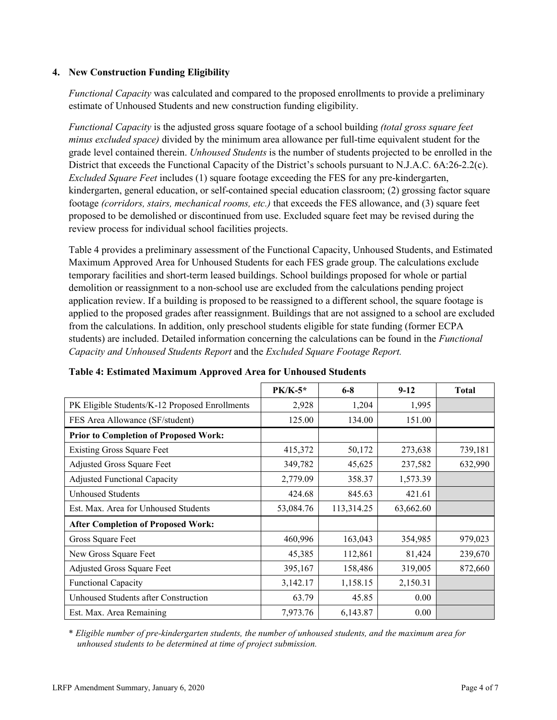## **4. New Construction Funding Eligibility**

*Functional Capacity* was calculated and compared to the proposed enrollments to provide a preliminary estimate of Unhoused Students and new construction funding eligibility.

*Functional Capacity* is the adjusted gross square footage of a school building *(total gross square feet minus excluded space)* divided by the minimum area allowance per full-time equivalent student for the grade level contained therein. *Unhoused Students* is the number of students projected to be enrolled in the District that exceeds the Functional Capacity of the District's schools pursuant to N.J.A.C. 6A:26-2.2(c). *Excluded Square Feet* includes (1) square footage exceeding the FES for any pre-kindergarten, kindergarten, general education, or self-contained special education classroom; (2) grossing factor square footage *(corridors, stairs, mechanical rooms, etc.)* that exceeds the FES allowance, and (3) square feet proposed to be demolished or discontinued from use. Excluded square feet may be revised during the review process for individual school facilities projects.

Table 4 provides a preliminary assessment of the Functional Capacity, Unhoused Students, and Estimated Maximum Approved Area for Unhoused Students for each FES grade group. The calculations exclude temporary facilities and short-term leased buildings. School buildings proposed for whole or partial demolition or reassignment to a non-school use are excluded from the calculations pending project application review. If a building is proposed to be reassigned to a different school, the square footage is applied to the proposed grades after reassignment. Buildings that are not assigned to a school are excluded from the calculations. In addition, only preschool students eligible for state funding (former ECPA students) are included. Detailed information concerning the calculations can be found in the *Functional Capacity and Unhoused Students Report* and the *Excluded Square Footage Report.*

|                                                | $PK/K-5*$ | $6 - 8$    | $9 - 12$  | <b>Total</b> |
|------------------------------------------------|-----------|------------|-----------|--------------|
| PK Eligible Students/K-12 Proposed Enrollments | 2,928     | 1,204      | 1,995     |              |
| FES Area Allowance (SF/student)                | 125.00    | 134.00     | 151.00    |              |
| <b>Prior to Completion of Proposed Work:</b>   |           |            |           |              |
| <b>Existing Gross Square Feet</b>              | 415,372   | 50,172     | 273,638   | 739,181      |
| Adjusted Gross Square Feet                     | 349,782   | 45,625     | 237,582   | 632,990      |
| <b>Adjusted Functional Capacity</b>            | 2,779.09  | 358.37     | 1,573.39  |              |
| Unhoused Students                              | 424.68    | 845.63     | 421.61    |              |
| Est. Max. Area for Unhoused Students           | 53,084.76 | 113,314.25 | 63,662.60 |              |
| <b>After Completion of Proposed Work:</b>      |           |            |           |              |
| Gross Square Feet                              | 460,996   | 163,043    | 354,985   | 979,023      |
| New Gross Square Feet                          | 45,385    | 112,861    | 81,424    | 239,670      |
| Adjusted Gross Square Feet                     | 395,167   | 158,486    | 319,005   | 872,660      |
| Functional Capacity                            | 3,142.17  | 1,158.15   | 2,150.31  |              |
| Unhoused Students after Construction           | 63.79     | 45.85      | 0.00      |              |
| Est. Max. Area Remaining                       | 7,973.76  | 6,143.87   | 0.00      |              |

#### **Table 4: Estimated Maximum Approved Area for Unhoused Students**

\* *Eligible number of pre-kindergarten students, the number of unhoused students, and the maximum area for unhoused students to be determined at time of project submission.*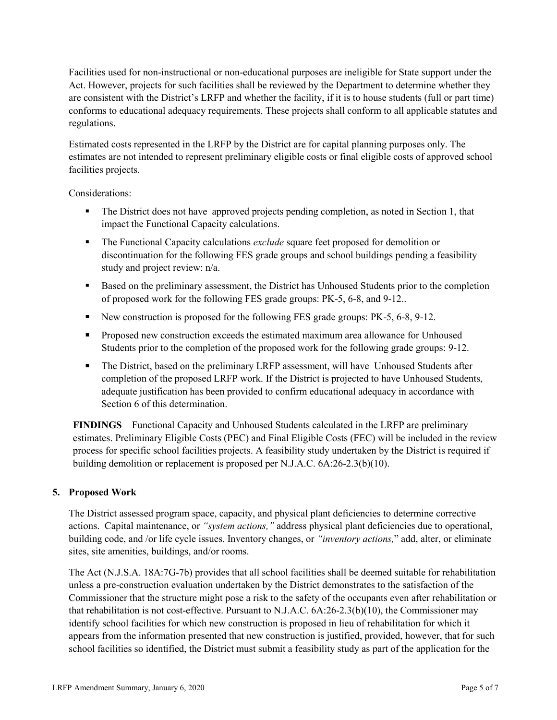Facilities used for non-instructional or non-educational purposes are ineligible for State support under the Act. However, projects for such facilities shall be reviewed by the Department to determine whether they are consistent with the District's LRFP and whether the facility, if it is to house students (full or part time) conforms to educational adequacy requirements. These projects shall conform to all applicable statutes and regulations.

Estimated costs represented in the LRFP by the District are for capital planning purposes only. The estimates are not intended to represent preliminary eligible costs or final eligible costs of approved school facilities projects.

Considerations:

- The District does not have approved projects pending completion, as noted in Section 1, that impact the Functional Capacity calculations.
- The Functional Capacity calculations *exclude* square feet proposed for demolition or discontinuation for the following FES grade groups and school buildings pending a feasibility study and project review: n/a.
- **Based on the preliminary assessment, the District has Unhoused Students prior to the completion** of proposed work for the following FES grade groups: PK-5, 6-8, and 9-12..
- New construction is proposed for the following FES grade groups: PK-5, 6-8, 9-12.
- **Proposed new construction exceeds the estimated maximum area allowance for Unhoused** Students prior to the completion of the proposed work for the following grade groups: 9-12.
- The District, based on the preliminary LRFP assessment, will have Unhoused Students after completion of the proposed LRFP work. If the District is projected to have Unhoused Students, adequate justification has been provided to confirm educational adequacy in accordance with Section 6 of this determination.

**FINDINGS** Functional Capacity and Unhoused Students calculated in the LRFP are preliminary estimates. Preliminary Eligible Costs (PEC) and Final Eligible Costs (FEC) will be included in the review process for specific school facilities projects. A feasibility study undertaken by the District is required if building demolition or replacement is proposed per N.J.A.C. 6A:26-2.3(b)(10).

# **5. Proposed Work**

The District assessed program space, capacity, and physical plant deficiencies to determine corrective actions. Capital maintenance, or *"system actions,"* address physical plant deficiencies due to operational, building code, and /or life cycle issues. Inventory changes, or *"inventory actions,*" add, alter, or eliminate sites, site amenities, buildings, and/or rooms.

The Act (N.J.S.A. 18A:7G-7b) provides that all school facilities shall be deemed suitable for rehabilitation unless a pre-construction evaluation undertaken by the District demonstrates to the satisfaction of the Commissioner that the structure might pose a risk to the safety of the occupants even after rehabilitation or that rehabilitation is not cost-effective. Pursuant to N.J.A.C. 6A:26-2.3(b)(10), the Commissioner may identify school facilities for which new construction is proposed in lieu of rehabilitation for which it appears from the information presented that new construction is justified, provided, however, that for such school facilities so identified, the District must submit a feasibility study as part of the application for the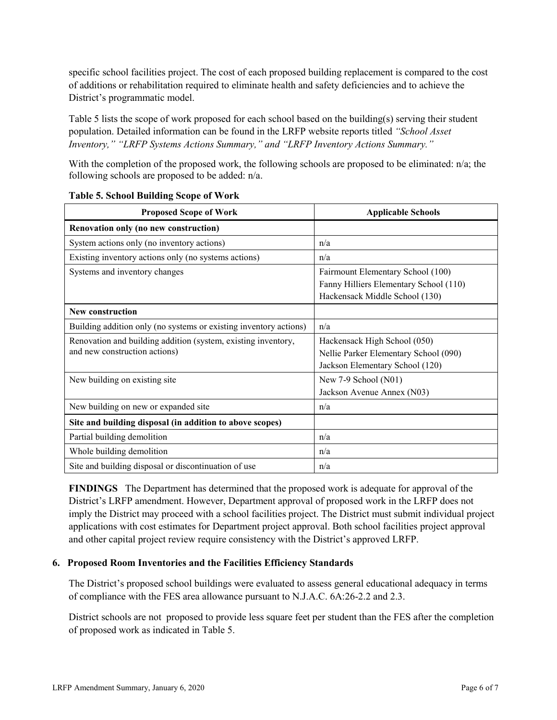specific school facilities project. The cost of each proposed building replacement is compared to the cost of additions or rehabilitation required to eliminate health and safety deficiencies and to achieve the District's programmatic model.

Table 5 lists the scope of work proposed for each school based on the building(s) serving their student population. Detailed information can be found in the LRFP website reports titled *"School Asset Inventory," "LRFP Systems Actions Summary," and "LRFP Inventory Actions Summary."*

With the completion of the proposed work, the following schools are proposed to be eliminated: n/a; the following schools are proposed to be added: n/a.

| <b>Proposed Scope of Work</b>                                                                  | <b>Applicable Schools</b>                                                                                     |
|------------------------------------------------------------------------------------------------|---------------------------------------------------------------------------------------------------------------|
| Renovation only (no new construction)                                                          |                                                                                                               |
| System actions only (no inventory actions)                                                     | n/a                                                                                                           |
| Existing inventory actions only (no systems actions)                                           | n/a                                                                                                           |
| Systems and inventory changes                                                                  | Fairmount Elementary School (100)<br>Fanny Hilliers Elementary School (110)<br>Hackensack Middle School (130) |
| <b>New construction</b>                                                                        |                                                                                                               |
| Building addition only (no systems or existing inventory actions)                              | n/a                                                                                                           |
| Renovation and building addition (system, existing inventory,<br>and new construction actions) | Hackensack High School (050)<br>Nellie Parker Elementary School (090)<br>Jackson Elementary School (120)      |
| New building on existing site                                                                  | New $7-9$ School $(N01)$<br>Jackson Avenue Annex (N03)                                                        |
| New building on new or expanded site                                                           | n/a                                                                                                           |
| Site and building disposal (in addition to above scopes)                                       |                                                                                                               |
| Partial building demolition                                                                    | n/a                                                                                                           |
| Whole building demolition                                                                      | n/a                                                                                                           |
| Site and building disposal or discontinuation of use                                           | n/a                                                                                                           |

|  |  | <b>Table 5. School Building Scope of Work</b> |  |  |
|--|--|-----------------------------------------------|--|--|
|--|--|-----------------------------------------------|--|--|

**FINDINGS** The Department has determined that the proposed work is adequate for approval of the District's LRFP amendment. However, Department approval of proposed work in the LRFP does not imply the District may proceed with a school facilities project. The District must submit individual project applications with cost estimates for Department project approval. Both school facilities project approval and other capital project review require consistency with the District's approved LRFP.

#### **6. Proposed Room Inventories and the Facilities Efficiency Standards**

The District's proposed school buildings were evaluated to assess general educational adequacy in terms of compliance with the FES area allowance pursuant to N.J.A.C. 6A:26-2.2 and 2.3.

District schools are not proposed to provide less square feet per student than the FES after the completion of proposed work as indicated in Table 5.